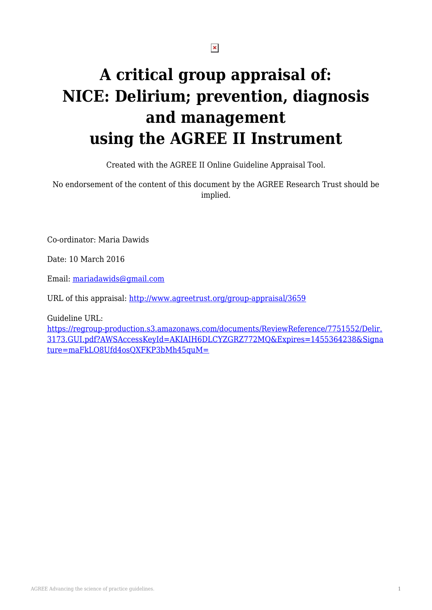# **A critical group appraisal of: NICE: Delirium; prevention, diagnosis and management using the AGREE II Instrument**

Created with the AGREE II Online Guideline Appraisal Tool.

No endorsement of the content of this document by the AGREE Research Trust should be implied.

Co-ordinator: Maria Dawids

Date: 10 March 2016

Email: [mariadawids@gmail.com](mailto:mariadawids@gmail.com)

URL of this appraisal:<http://www.agreetrust.org/group-appraisal/3659>

Guideline URL:

[https://regroup-production.s3.amazonaws.com/documents/ReviewReference/7751552/Delir.](https://regroup-production.s3.amazonaws.com/documents/ReviewReference/7751552/Delir.3173.GUI.pdf?AWSAccessKeyId=AKIAIH6DLCYZGRZ772MQ&Expires=1455364238&Signature=maFkLO8Ufd4osQXFKP3bMh45quM=) [3173.GUI.pdf?AWSAccessKeyId=AKIAIH6DLCYZGRZ772MQ&Expires=1455364238&Signa](https://regroup-production.s3.amazonaws.com/documents/ReviewReference/7751552/Delir.3173.GUI.pdf?AWSAccessKeyId=AKIAIH6DLCYZGRZ772MQ&Expires=1455364238&Signature=maFkLO8Ufd4osQXFKP3bMh45quM=) [ture=maFkLO8Ufd4osQXFKP3bMh45quM=](https://regroup-production.s3.amazonaws.com/documents/ReviewReference/7751552/Delir.3173.GUI.pdf?AWSAccessKeyId=AKIAIH6DLCYZGRZ772MQ&Expires=1455364238&Signature=maFkLO8Ufd4osQXFKP3bMh45quM=)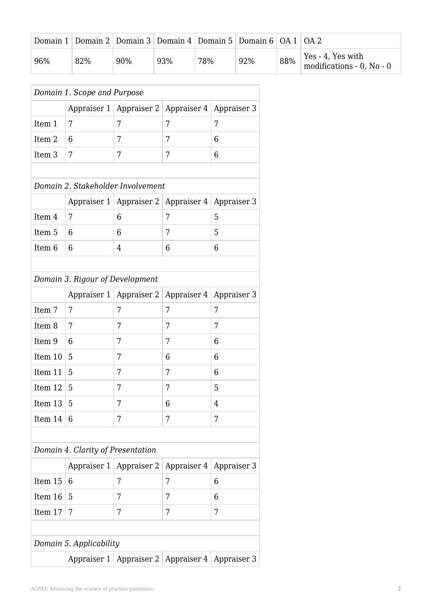|     | Domain 1   Domain 2   Domain 3   Domain 4   Domain 5   Domain 6   OA 1   OA 2 |     |     |     |     |     |                                                              |
|-----|-------------------------------------------------------------------------------|-----|-----|-----|-----|-----|--------------------------------------------------------------|
| 96% | 82%                                                                           | 90% | 93% | 78% | 92% | 88% | Yes - 4, Yes with<br>$\frac{1}{2}$ modifications - 0, No - 0 |

|                   |                                   | Appraiser 1   Appraiser 2   Appraiser 4 |             | Appraiser 3 |
|-------------------|-----------------------------------|-----------------------------------------|-------------|-------------|
| Item 1            | 7                                 | 7                                       | 7           | 7           |
| Item 2            | 6                                 | 7                                       | 7           | 6           |
|                   | 7                                 | 7                                       | 7           |             |
| Item <sub>3</sub> |                                   |                                         |             | 6           |
|                   |                                   | Domain 2. Stakeholder Involvement       |             |             |
|                   |                                   | Appraiser 1   Appraiser 2   Appraiser 4 |             | Appraiser 3 |
| Item 4            | 7                                 | 6                                       | 7           | 5           |
| Item 5            | 6                                 | 6                                       | 7           | 5           |
| Item 6            | 6                                 | 4                                       | 6           | 6           |
|                   |                                   |                                         |             |             |
|                   | Domain 3. Rigour of Development   |                                         |             |             |
|                   |                                   | Appraiser 1   Appraiser 2               | Appraiser 4 | Appraiser 3 |
| Item 7            | 7                                 | 7                                       | 7           | 7           |
| Item 8            | 7                                 | 7                                       | 7           | 7           |
| Item 9            | 6                                 | 7                                       | 7           | 6           |
| Item 10           | 5                                 | 7                                       | 6           | 6           |
| Item 11           | 5                                 | 7                                       | 7           | 6           |
| Item 12           | 5                                 | 7                                       | 7           | 5           |
| Item 13           | 5                                 | 7                                       | 6           | 4           |
| Item 14           | 6                                 | 7                                       | 7           | 7           |
|                   |                                   |                                         |             |             |
|                   | Domain 4. Clarity of Presentation |                                         |             |             |
|                   | Appraiser $1 \mid$                | Appraiser 2                             | Appraiser 4 | Appraiser 3 |
| Item 15           | 6                                 | 7                                       | 7           | 6           |
|                   | 5                                 | 7                                       | 7           | 6           |
| Item 16           |                                   |                                         |             |             |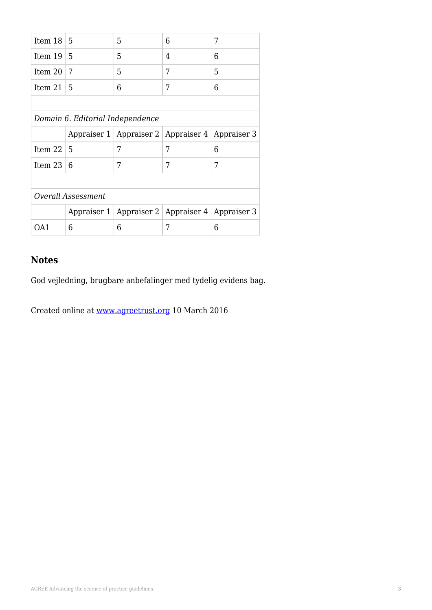| Item $18 \mid 5$          |                                  | 5                                                     | 6 | 7 |  |
|---------------------------|----------------------------------|-------------------------------------------------------|---|---|--|
| Item $19 \mid 5$          |                                  | 5                                                     | 4 | 6 |  |
| Item $201$                | 7                                | 5                                                     | 7 | 5 |  |
| Item $21$                 | -5                               | 6                                                     | 7 | 6 |  |
|                           |                                  |                                                       |   |   |  |
|                           | Domain 6. Editorial Independence |                                                       |   |   |  |
|                           |                                  | Appraiser 1   Appraiser 2   Appraiser 4   Appraiser 3 |   |   |  |
| Item $22 \mid 5$          |                                  | 7                                                     | 7 | 6 |  |
| Item $23 \mid 6$          |                                  | 7                                                     | 7 | 7 |  |
|                           |                                  |                                                       |   |   |  |
| <b>Overall Assessment</b> |                                  |                                                       |   |   |  |
|                           |                                  | Appraiser 1   Appraiser 2   Appraiser 4   Appraiser 3 |   |   |  |
| OA1                       | 6                                | 6                                                     | 7 | 6 |  |
|                           |                                  |                                                       |   |   |  |

God vejledning, brugbare anbefalinger med tydelig evidens bag.

Created online at [www.agreetrust.org](http://www.agreetrust.org) 10 March 2016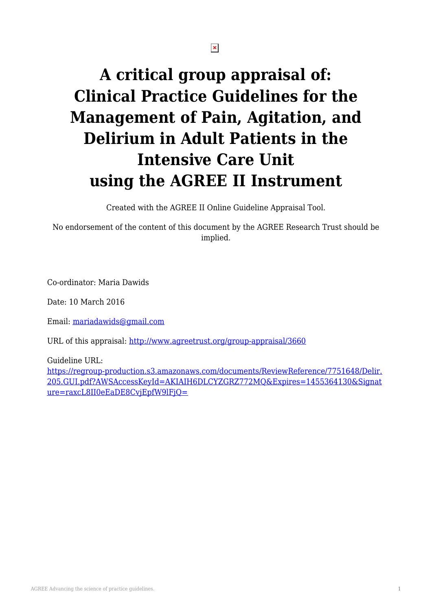$\pmb{\times}$ 

# **A critical group appraisal of: Clinical Practice Guidelines for the Management of Pain, Agitation, and Delirium in Adult Patients in the Intensive Care Unit using the AGREE II Instrument**

Created with the AGREE II Online Guideline Appraisal Tool.

No endorsement of the content of this document by the AGREE Research Trust should be implied.

Co-ordinator: Maria Dawids

Date: 10 March 2016

Email: [mariadawids@gmail.com](mailto:mariadawids@gmail.com)

URL of this appraisal:<http://www.agreetrust.org/group-appraisal/3660>

Guideline URL:

[https://regroup-production.s3.amazonaws.com/documents/ReviewReference/7751648/Delir.](https://regroup-production.s3.amazonaws.com/documents/ReviewReference/7751648/Delir.205.GUI.pdf?AWSAccessKeyId=AKIAIH6DLCYZGRZ772MQ&Expires=1455364130&Signature=raxcL8II0eEaDE8CvjEpfW9lFjQ=) [205.GUI.pdf?AWSAccessKeyId=AKIAIH6DLCYZGRZ772MQ&Expires=1455364130&Signat](https://regroup-production.s3.amazonaws.com/documents/ReviewReference/7751648/Delir.205.GUI.pdf?AWSAccessKeyId=AKIAIH6DLCYZGRZ772MQ&Expires=1455364130&Signature=raxcL8II0eEaDE8CvjEpfW9lFjQ=) [ure=raxcL8II0eEaDE8CvjEpfW9lFjQ=](https://regroup-production.s3.amazonaws.com/documents/ReviewReference/7751648/Delir.205.GUI.pdf?AWSAccessKeyId=AKIAIH6DLCYZGRZ772MQ&Expires=1455364130&Signature=raxcL8II0eEaDE8CvjEpfW9lFjQ=)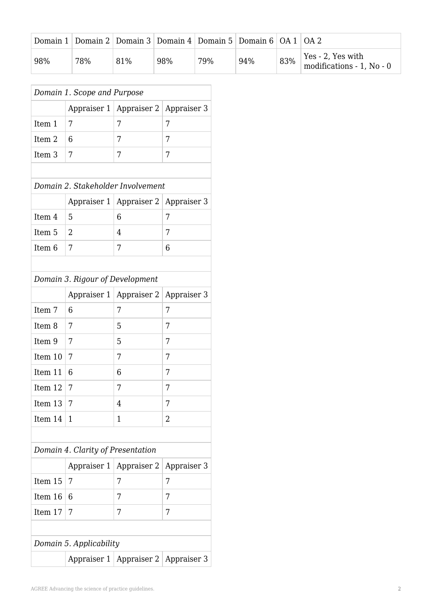|     | Domain 1   Domain 2   Domain 3   Domain 4   Domain 5   Domain 6   OA 1   OA 2 |     |     |     |     |     |                                                        |
|-----|-------------------------------------------------------------------------------|-----|-----|-----|-----|-----|--------------------------------------------------------|
| 98% | 78%                                                                           | 81% | 98% | 79% | 94% | 83% | $\vert$ Yes - 2, Yes with<br>modifications - 1, No - 0 |

| Domain 1. Scope and Purpose |                                   |                                         |             |  |  |
|-----------------------------|-----------------------------------|-----------------------------------------|-------------|--|--|
|                             |                                   | Appraiser 1   Appraiser 2               | Appraiser 3 |  |  |
| Item 1                      | 7                                 | 7                                       | 7           |  |  |
| Item <sub>2</sub>           | 6                                 | 7                                       | 7           |  |  |
| Item <sub>3</sub>           | 7                                 | 7                                       | 7           |  |  |
|                             |                                   |                                         |             |  |  |
|                             | Domain 2. Stakeholder Involvement |                                         |             |  |  |
|                             |                                   | Appraiser 1   Appraiser 2   Appraiser 3 |             |  |  |
| Item 4                      | 5                                 | 6                                       | 7           |  |  |
| Item <sub>5</sub>           | 2                                 | 4                                       | 7           |  |  |
| Item <sub>6</sub>           | 7                                 | 7                                       | 6           |  |  |
|                             |                                   |                                         |             |  |  |
|                             | Domain 3. Rigour of Development   |                                         |             |  |  |
|                             |                                   | Appraiser 1   Appraiser 2               | Appraiser 3 |  |  |
| Item 7                      | 6                                 | 7                                       | 7           |  |  |
| Item <sub>8</sub>           | 7                                 | 5                                       | 7           |  |  |
| Item 9                      | 7                                 | 5                                       | 7           |  |  |
| Item 10                     | 7                                 | 7                                       | 7           |  |  |

### *Domain 4. Clarity of Presentation*

Item 11 6 6 7

Item 12 7 7

Item 13 | 7 |  $\vert 4 \vert$  | 7

Item 14 | 1 |  $\vert$  | 1 | 2

|                         |  | Appraiser 1   Appraiser 2   Appraiser 3 |   |  |  |  |
|-------------------------|--|-----------------------------------------|---|--|--|--|
| Item $15 \mid 7$        |  | 7                                       | 7 |  |  |  |
| Item $16 \mid 6$        |  | 7                                       | 7 |  |  |  |
| Item $17 \mid 7$        |  | 7                                       | 7 |  |  |  |
|                         |  |                                         |   |  |  |  |
| Domain 5. Applicability |  |                                         |   |  |  |  |
|                         |  | Appraiser 1   Appraiser 2   Appraiser 3 |   |  |  |  |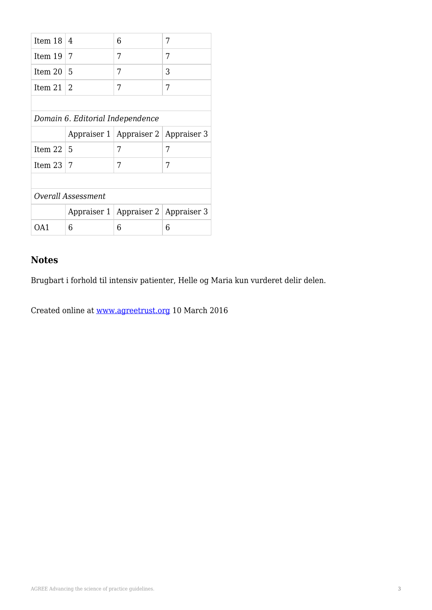| Item 18            | 4                                | 6                                       | 7 |  |  |  |
|--------------------|----------------------------------|-----------------------------------------|---|--|--|--|
| Item 19            | 7                                | 7                                       | 7 |  |  |  |
| Item 20            | 5                                | 7                                       | 3 |  |  |  |
| Item 21            | 2                                | 7                                       | 7 |  |  |  |
|                    |                                  |                                         |   |  |  |  |
|                    | Domain 6. Editorial Independence |                                         |   |  |  |  |
|                    |                                  | Appraiser 1   Appraiser 2   Appraiser 3 |   |  |  |  |
| Item $22 \mid 5$   |                                  | 7                                       | 7 |  |  |  |
| Item 23            | 7                                | 7                                       | 7 |  |  |  |
|                    |                                  |                                         |   |  |  |  |
| Overall Assessment |                                  |                                         |   |  |  |  |
|                    |                                  | Appraiser 1   Appraiser 2   Appraiser 3 |   |  |  |  |
| OA1                | 6                                | 6                                       | 6 |  |  |  |

Brugbart i forhold til intensiv patienter, Helle og Maria kun vurderet delir delen.

Created online at [www.agreetrust.org](http://www.agreetrust.org) 10 March 2016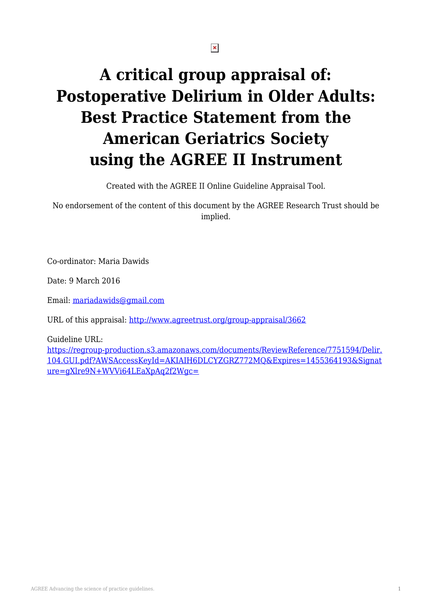$\pmb{\times}$ 

# **A critical group appraisal of: Postoperative Delirium in Older Adults: Best Practice Statement from the American Geriatrics Society using the AGREE II Instrument**

Created with the AGREE II Online Guideline Appraisal Tool.

No endorsement of the content of this document by the AGREE Research Trust should be implied.

Co-ordinator: Maria Dawids

Date: 9 March 2016

Email: [mariadawids@gmail.com](mailto:mariadawids@gmail.com)

URL of this appraisal:<http://www.agreetrust.org/group-appraisal/3662>

Guideline URL:

[https://regroup-production.s3.amazonaws.com/documents/ReviewReference/7751594/Delir.](https://regroup-production.s3.amazonaws.com/documents/ReviewReference/7751594/Delir.104.GUI.pdf?AWSAccessKeyId=AKIAIH6DLCYZGRZ772MQ&Expires=1455364193&Signature=gXlre9N+WVVi64LEaXpAq2f2Wgc=) [104.GUI.pdf?AWSAccessKeyId=AKIAIH6DLCYZGRZ772MQ&Expires=1455364193&Signat](https://regroup-production.s3.amazonaws.com/documents/ReviewReference/7751594/Delir.104.GUI.pdf?AWSAccessKeyId=AKIAIH6DLCYZGRZ772MQ&Expires=1455364193&Signature=gXlre9N+WVVi64LEaXpAq2f2Wgc=) [ure=gXlre9N+WVVi64LEaXpAq2f2Wgc=](https://regroup-production.s3.amazonaws.com/documents/ReviewReference/7751594/Delir.104.GUI.pdf?AWSAccessKeyId=AKIAIH6DLCYZGRZ772MQ&Expires=1455364193&Signature=gXlre9N+WVVi64LEaXpAq2f2Wgc=)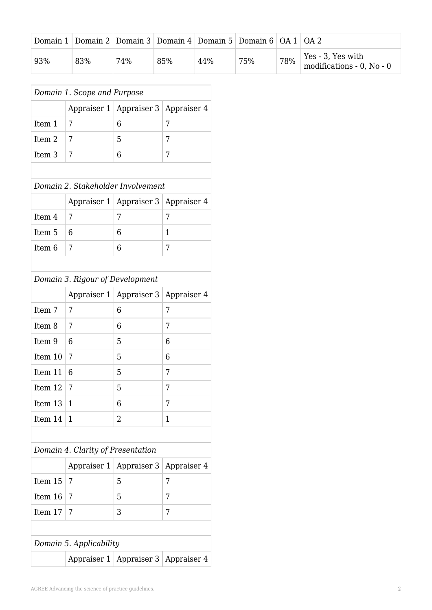|     | Domain 1   Domain 2   Domain 3   Domain 4   Domain 5   Domain 6   OA 1   OA 2 |     |     |     |     |     |                                                        |
|-----|-------------------------------------------------------------------------------|-----|-----|-----|-----|-----|--------------------------------------------------------|
| 93% | 83%                                                                           | 74% | 85% | 44% | 75% | 78% | $\vert$ Yes - 3, Yes with<br>modifications - 0, No - 0 |

|                                 | Domain 1. Scope and Purpose       |                                         |             |  |  |
|---------------------------------|-----------------------------------|-----------------------------------------|-------------|--|--|
|                                 |                                   | Appraiser 1   Appraiser 3               | Appraiser 4 |  |  |
| Item 1                          | 7                                 | 6                                       | 7           |  |  |
| Item 2                          | 7                                 | 5                                       | 7           |  |  |
| Item <sub>3</sub>               | 7                                 | 6                                       | 7           |  |  |
|                                 |                                   |                                         |             |  |  |
|                                 | Domain 2. Stakeholder Involvement |                                         |             |  |  |
|                                 |                                   | Appraiser 1   Appraiser 3   Appraiser 4 |             |  |  |
| Item 4                          | 7                                 | 7                                       | 7           |  |  |
| Item <sub>5</sub>               | 6                                 | 6                                       | 1           |  |  |
| Item <sub>6</sub>               | 7                                 | 6                                       | 7           |  |  |
|                                 |                                   |                                         |             |  |  |
| Domain 3. Rigour of Development |                                   |                                         |             |  |  |
|                                 |                                   | Appraiser 1   Appraiser 3   Appraiser 4 |             |  |  |
| Item <sub>7</sub>               | 7                                 | 6                                       | 7           |  |  |
| Item 8                          | 7                                 | 6                                       | 7           |  |  |
| Item 9                          | 6                                 | 5                                       | 6           |  |  |

| Item 8   $7$     | 6 |   |
|------------------|---|---|
| Item $9 \mid 6$  | 5 | 6 |
| Item $10 \mid 7$ | 5 | 6 |
| Item $11 \mid 6$ | 5 | 7 |
| Item $12 \mid 7$ | 5 | 7 |
| Item $13 \mid 1$ | 6 | 7 |
| Item $14 \mid 1$ | 2 |   |

### *Domain 4. Clarity of Presentation*

|                         |  | Appraiser 1   Appraiser 3   Appraiser 4 |   |  |  |  |
|-------------------------|--|-----------------------------------------|---|--|--|--|
| Item $15 \mid 7$        |  | 5                                       | 7 |  |  |  |
| Item $16 \mid 7$        |  | 5                                       | 7 |  |  |  |
| Item $17 \mid 7$        |  | 3                                       | 7 |  |  |  |
|                         |  |                                         |   |  |  |  |
| Domain 5. Applicability |  |                                         |   |  |  |  |
|                         |  | Appraiser 1   Appraiser 3   Appraiser 4 |   |  |  |  |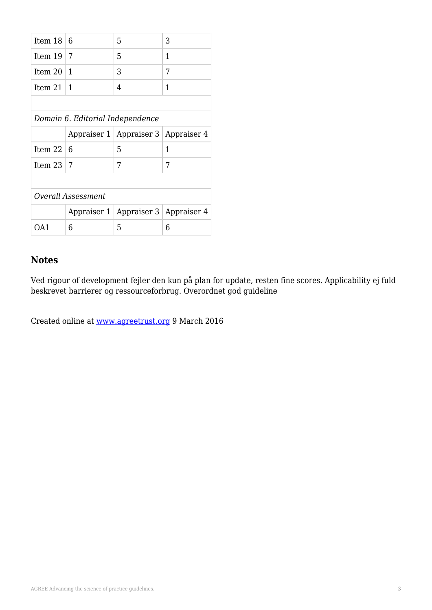| Item 18                   | 6                                | 5                                       | 3              |  |  |  |  |
|---------------------------|----------------------------------|-----------------------------------------|----------------|--|--|--|--|
| Item 19                   | 7                                | 5                                       | 1              |  |  |  |  |
| Item 20                   | 1                                | 3                                       | 7              |  |  |  |  |
| Item 21                   | 1                                | 4                                       | 1              |  |  |  |  |
|                           |                                  |                                         |                |  |  |  |  |
|                           | Domain 6. Editorial Independence |                                         |                |  |  |  |  |
|                           |                                  | Appraiser 1   Appraiser 3   Appraiser 4 |                |  |  |  |  |
| Item $22 \mid 6$          |                                  | 5                                       | $\overline{1}$ |  |  |  |  |
| Item 23                   | 7                                | 7                                       | 7              |  |  |  |  |
|                           |                                  |                                         |                |  |  |  |  |
| <b>Overall Assessment</b> |                                  |                                         |                |  |  |  |  |
|                           | Appraiser 1                      | Appraiser 3   Appraiser 4               |                |  |  |  |  |
| OA1                       | 6                                | 5                                       | 6              |  |  |  |  |

Ved rigour of development fejler den kun på plan for update, resten fine scores. Applicability ej fuld beskrevet barrierer og ressourceforbrug. Overordnet god guideline

Created online at [www.agreetrust.org](http://www.agreetrust.org) 9 March 2016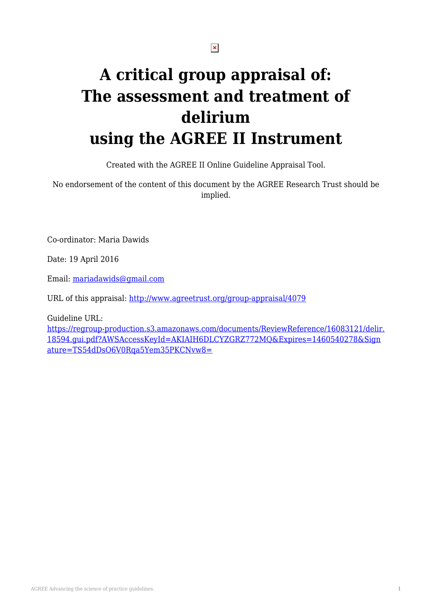# **A critical group appraisal of: The assessment and treatment of delirium using the AGREE II Instrument**

Created with the AGREE II Online Guideline Appraisal Tool.

No endorsement of the content of this document by the AGREE Research Trust should be implied.

Co-ordinator: Maria Dawids

Date: 19 April 2016

Email: [mariadawids@gmail.com](mailto:mariadawids@gmail.com)

URL of this appraisal:<http://www.agreetrust.org/group-appraisal/4079>

Guideline URL:

[https://regroup-production.s3.amazonaws.com/documents/ReviewReference/16083121/delir.](https://regroup-production.s3.amazonaws.com/documents/ReviewReference/16083121/delir.18594.gui.pdf?AWSAccessKeyId=AKIAIH6DLCYZGRZ772MQ&Expires=1460540278&Signature=TS54dDsO6V0Rqa5Yem35PKCNvw8=) [18594.gui.pdf?AWSAccessKeyId=AKIAIH6DLCYZGRZ772MQ&Expires=1460540278&Sign](https://regroup-production.s3.amazonaws.com/documents/ReviewReference/16083121/delir.18594.gui.pdf?AWSAccessKeyId=AKIAIH6DLCYZGRZ772MQ&Expires=1460540278&Signature=TS54dDsO6V0Rqa5Yem35PKCNvw8=) [ature=TS54dDsO6V0Rqa5Yem35PKCNvw8=](https://regroup-production.s3.amazonaws.com/documents/ReviewReference/16083121/delir.18594.gui.pdf?AWSAccessKeyId=AKIAIH6DLCYZGRZ772MQ&Expires=1460540278&Signature=TS54dDsO6V0Rqa5Yem35PKCNvw8=)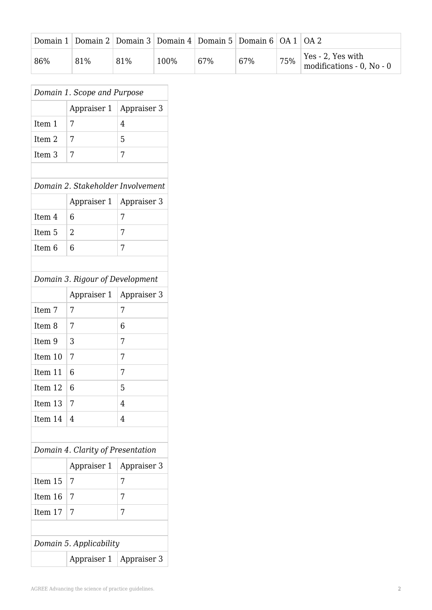|     | Domain 1   Domain 2   Domain 3   Domain 4   Domain 5   Domain 6   OA 1   OA 2 |     |      |     |     |     |                                                |
|-----|-------------------------------------------------------------------------------|-----|------|-----|-----|-----|------------------------------------------------|
| 86% | 81%                                                                           | 81% | 100% | 67% | 67% | 75% | Yes - 2, Yes with<br>modifications - 0, No - 0 |

|                                   | Domain 1. Scope and Purpose<br>Appraiser 1 | Appraiser 3 |  |  |  |  |
|-----------------------------------|--------------------------------------------|-------------|--|--|--|--|
|                                   |                                            |             |  |  |  |  |
| Item 1                            | 7                                          | 4           |  |  |  |  |
| Item 2                            | 7                                          | 5           |  |  |  |  |
| Item <sub>3</sub>                 | 7                                          | 7           |  |  |  |  |
|                                   |                                            |             |  |  |  |  |
| Domain 2. Stakeholder Involvement |                                            |             |  |  |  |  |
|                                   | Appraiser 1                                | Appraiser 3 |  |  |  |  |
| Item 4                            | 6                                          | 7           |  |  |  |  |
| Item <sub>5</sub>                 | $\overline{2}$                             | 7           |  |  |  |  |
| Item <sub>6</sub>                 | 6                                          | 7           |  |  |  |  |
|                                   |                                            |             |  |  |  |  |
|                                   | Domain 3. Rigour of Development            |             |  |  |  |  |
|                                   | Appraiser 1                                | Appraiser 3 |  |  |  |  |
| Item 7                            | 7                                          | 7           |  |  |  |  |
| Item <sub>8</sub>                 | 7                                          | 6           |  |  |  |  |
| Item 9                            | 3                                          | 7           |  |  |  |  |
| Item 10                           | 7                                          | 7           |  |  |  |  |
| Item 11                           | 6                                          | 7           |  |  |  |  |
| Item 12                           | 6                                          | 5           |  |  |  |  |
| Item 13                           | 7                                          | 4           |  |  |  |  |
| Item 14                           | 4                                          | 4           |  |  |  |  |
|                                   |                                            |             |  |  |  |  |
| Domain 4. Clarity of Presentation |                                            |             |  |  |  |  |
|                                   | Appraiser 1                                | Appraiser 3 |  |  |  |  |
| Item 15                           | 7                                          | 7           |  |  |  |  |
| Item 16                           | 7                                          | 7           |  |  |  |  |
| Item 17                           | 7                                          | 7           |  |  |  |  |
|                                   |                                            |             |  |  |  |  |
|                                   | Domain 5. Applicability                    |             |  |  |  |  |
|                                   | Appraiser 1                                | Appraiser 3 |  |  |  |  |
|                                   |                                            |             |  |  |  |  |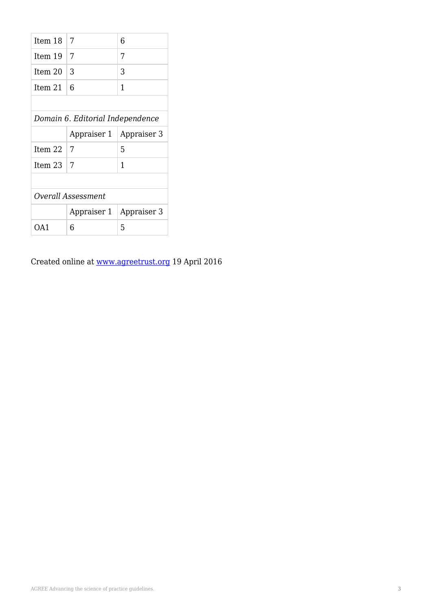| Item 18                          | 7           | 6           |  |  |  |  |  |
|----------------------------------|-------------|-------------|--|--|--|--|--|
| Item 19                          | 7           | 7           |  |  |  |  |  |
| Item 20                          | 3           | 3           |  |  |  |  |  |
| Item 21                          | 6           | 1           |  |  |  |  |  |
|                                  |             |             |  |  |  |  |  |
| Domain 6. Editorial Independence |             |             |  |  |  |  |  |
|                                  | Appraiser 1 | Appraiser 3 |  |  |  |  |  |
| Item 22                          | 7           | 5           |  |  |  |  |  |
| Item 23                          | 7           | 1           |  |  |  |  |  |
|                                  |             |             |  |  |  |  |  |
| Overall Assessment               |             |             |  |  |  |  |  |
|                                  | Appraiser 1 | Appraiser 3 |  |  |  |  |  |
| 6<br>OA1                         |             | 5           |  |  |  |  |  |

Created online at [www.agreetrust.org](http://www.agreetrust.org) 19 April 2016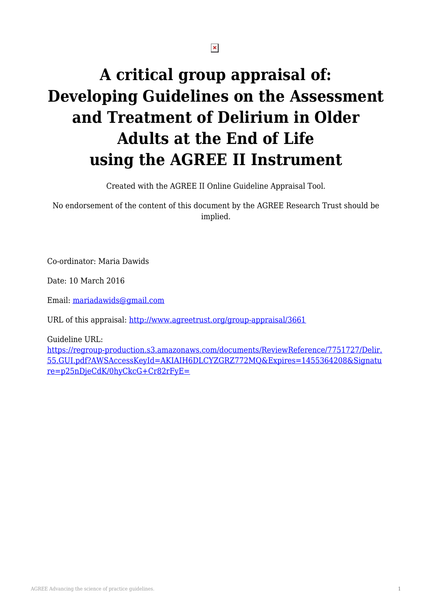# **A critical group appraisal of: Developing Guidelines on the Assessment and Treatment of Delirium in Older Adults at the End of Life using the AGREE II Instrument**

Created with the AGREE II Online Guideline Appraisal Tool.

No endorsement of the content of this document by the AGREE Research Trust should be implied.

Co-ordinator: Maria Dawids

Date: 10 March 2016

Email: [mariadawids@gmail.com](mailto:mariadawids@gmail.com)

URL of this appraisal:<http://www.agreetrust.org/group-appraisal/3661>

Guideline URL:

[https://regroup-production.s3.amazonaws.com/documents/ReviewReference/7751727/Delir.](https://regroup-production.s3.amazonaws.com/documents/ReviewReference/7751727/Delir.55.GUI.pdf?AWSAccessKeyId=AKIAIH6DLCYZGRZ772MQ&Expires=1455364208&Signature=p25nDjeCdK/0hyCkcG+Cr82rFyE=) [55.GUI.pdf?AWSAccessKeyId=AKIAIH6DLCYZGRZ772MQ&Expires=1455364208&Signatu](https://regroup-production.s3.amazonaws.com/documents/ReviewReference/7751727/Delir.55.GUI.pdf?AWSAccessKeyId=AKIAIH6DLCYZGRZ772MQ&Expires=1455364208&Signature=p25nDjeCdK/0hyCkcG+Cr82rFyE=) [re=p25nDjeCdK/0hyCkcG+Cr82rFyE=](https://regroup-production.s3.amazonaws.com/documents/ReviewReference/7751727/Delir.55.GUI.pdf?AWSAccessKeyId=AKIAIH6DLCYZGRZ772MQ&Expires=1455364208&Signature=p25nDjeCdK/0hyCkcG+Cr82rFyE=)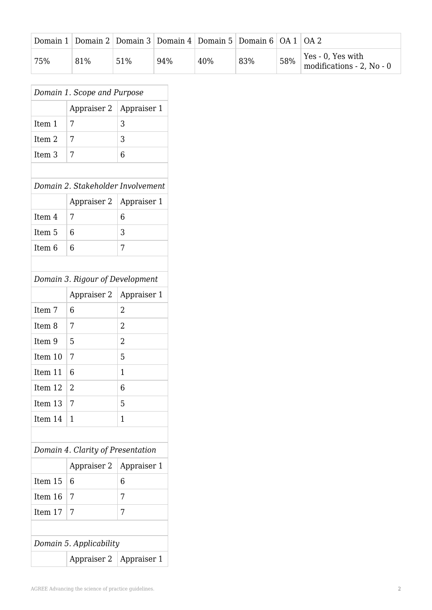| Domain 1 |     |     |     | Domain 2 Domain 3 Domain 4 Domain 5 Domain 6 OA 1 OA 2 |     |     |                                                |
|----------|-----|-----|-----|--------------------------------------------------------|-----|-----|------------------------------------------------|
| 75%      | 81% | 51% | 94% | 40%                                                    | 83% | 58% | Yes - 0, Yes with<br>modifications - 2, No - 0 |

| Domain 1. Scope and Purpose       |                                   |                |  |  |  |  |
|-----------------------------------|-----------------------------------|----------------|--|--|--|--|
|                                   | Appraiser 2                       | Appraiser 1    |  |  |  |  |
| Item 1                            | 7                                 | 3              |  |  |  |  |
| Item <sub>2</sub>                 | 7                                 | 3              |  |  |  |  |
| Item <sub>3</sub>                 | 7                                 | 6              |  |  |  |  |
|                                   |                                   |                |  |  |  |  |
| Domain 2. Stakeholder Involvement |                                   |                |  |  |  |  |
|                                   | Appraiser 2                       | Appraiser 1    |  |  |  |  |
| Item 4                            | 7                                 | 6              |  |  |  |  |
| Item 5                            | 6                                 | 3              |  |  |  |  |
| Item <sub>6</sub>                 | 6                                 | 7              |  |  |  |  |
|                                   |                                   |                |  |  |  |  |
|                                   | Domain 3. Rigour of Development   |                |  |  |  |  |
|                                   | Appraiser 2                       | Appraiser 1    |  |  |  |  |
| Item 7                            | 6                                 | $\overline{2}$ |  |  |  |  |
| Item <sub>8</sub>                 | 7                                 | $\overline{2}$ |  |  |  |  |
| Item 9                            | 5                                 | $\overline{2}$ |  |  |  |  |
| Item 10                           | 7                                 | 5              |  |  |  |  |
| Item 11                           | 6                                 | 1              |  |  |  |  |
| Item 12                           | 2                                 | 6              |  |  |  |  |
| Item 13                           | 7                                 | 5              |  |  |  |  |
| Item 14                           | 1                                 | 1              |  |  |  |  |
|                                   |                                   |                |  |  |  |  |
|                                   | Domain 4. Clarity of Presentation |                |  |  |  |  |
|                                   | Appraiser 2                       | Appraiser 1    |  |  |  |  |
| Item 15                           | 6                                 | 6              |  |  |  |  |
| Item 16                           | 7                                 | 7              |  |  |  |  |
| Item 17                           | 7                                 | 7              |  |  |  |  |
|                                   |                                   |                |  |  |  |  |
| Domain 5. Applicability           |                                   |                |  |  |  |  |
|                                   | Appraiser 2                       | Appraiser 1    |  |  |  |  |